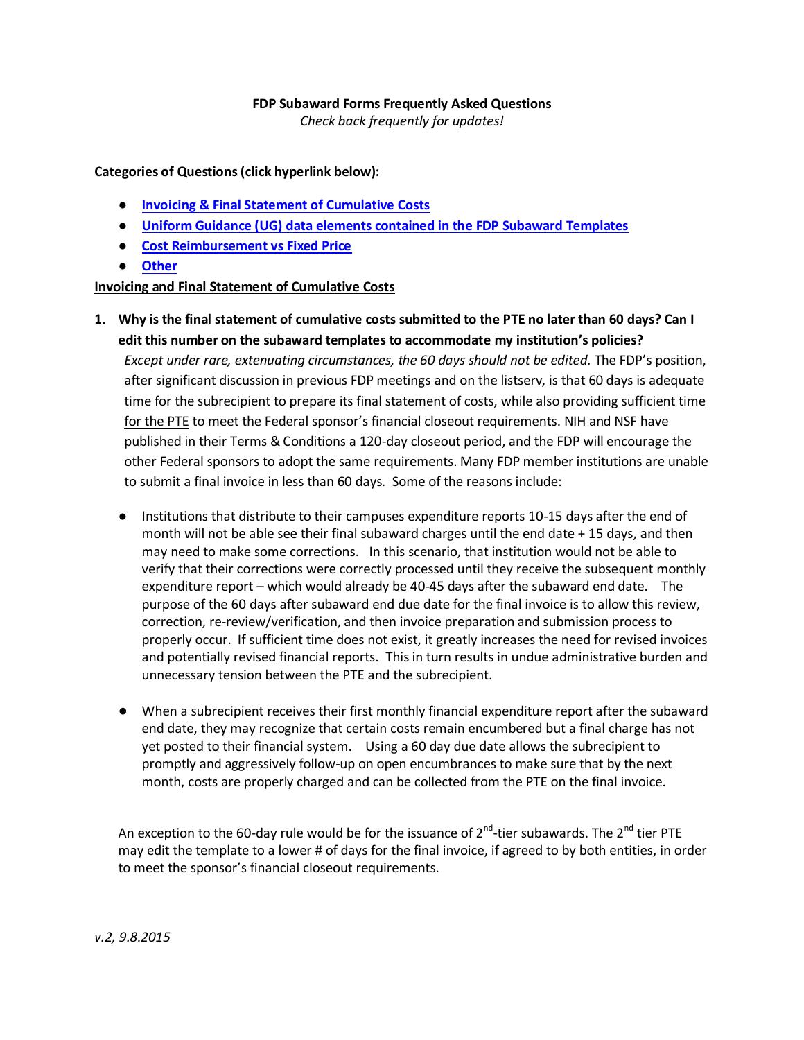#### **FDP Subaward Forms Frequently Asked Questions**

*Check back frequently for updates!*

**Categories of Questions (click hyperlink below):**

- **[Invoicing & Final Statement of Cumulative Costs](#page-0-0)**
- **[Uniform Guidance \(UG\) data elements contained in the FDP Subaward Templates](#page-2-0)**
- **[Cost Reimbursement vs Fixed Price](#page-5-0)**
- **[Other](#page-6-0)**

#### <span id="page-0-0"></span>**Invoicing and Final Statement of Cumulative Costs**

- **1. Why is the final statement of cumulative costs submitted to the PTE no later than 60 days? Can I edit this number on the subaward templates to accommodate my institution's policies?** *Except under rare, extenuating circumstances, the 60 days should not be edited.* The FDP's position, after significant discussion in previous FDP meetings and on the listserv, is that 60 days is adequate time for the subrecipient to prepare its final statement of costs, while also providing sufficient time for the PTE to meet the Federal sponsor's financial closeout requirements. NIH and NSF have published in their Terms & Conditions a 120-day closeout period, and the FDP will encourage the other Federal sponsors to adopt the same requirements. Many FDP member institutions are unable to submit a final invoice in less than 60 days. Some of the reasons include:
	- Institutions that distribute to their campuses expenditure reports 10-15 days after the end of month will not be able see their final subaward charges until the end date + 15 days, and then may need to make some corrections. In this scenario, that institution would not be able to verify that their corrections were correctly processed until they receive the subsequent monthly expenditure report – which would already be 40-45 days after the subaward end date. The purpose of the 60 days after subaward end due date for the final invoice is to allow this review, correction, re-review/verification, and then invoice preparation and submission process to properly occur. If sufficient time does not exist, it greatly increases the need for revised invoices and potentially revised financial reports. This in turn results in undue administrative burden and unnecessary tension between the PTE and the subrecipient.
	- When a subrecipient receives their first monthly financial expenditure report after the subaward end date, they may recognize that certain costs remain encumbered but a final charge has not yet posted to their financial system. Using a 60 day due date allows the subrecipient to promptly and aggressively follow-up on open encumbrances to make sure that by the next month, costs are properly charged and can be collected from the PTE on the final invoice.

An exception to the 60-day rule would be for the issuance of 2<sup>nd</sup>-tier subawards. The 2<sup>nd</sup> tier PTE may edit the template to a lower # of days for the final invoice, if agreed to by both entities, in order to meet the sponsor's financial closeout requirements.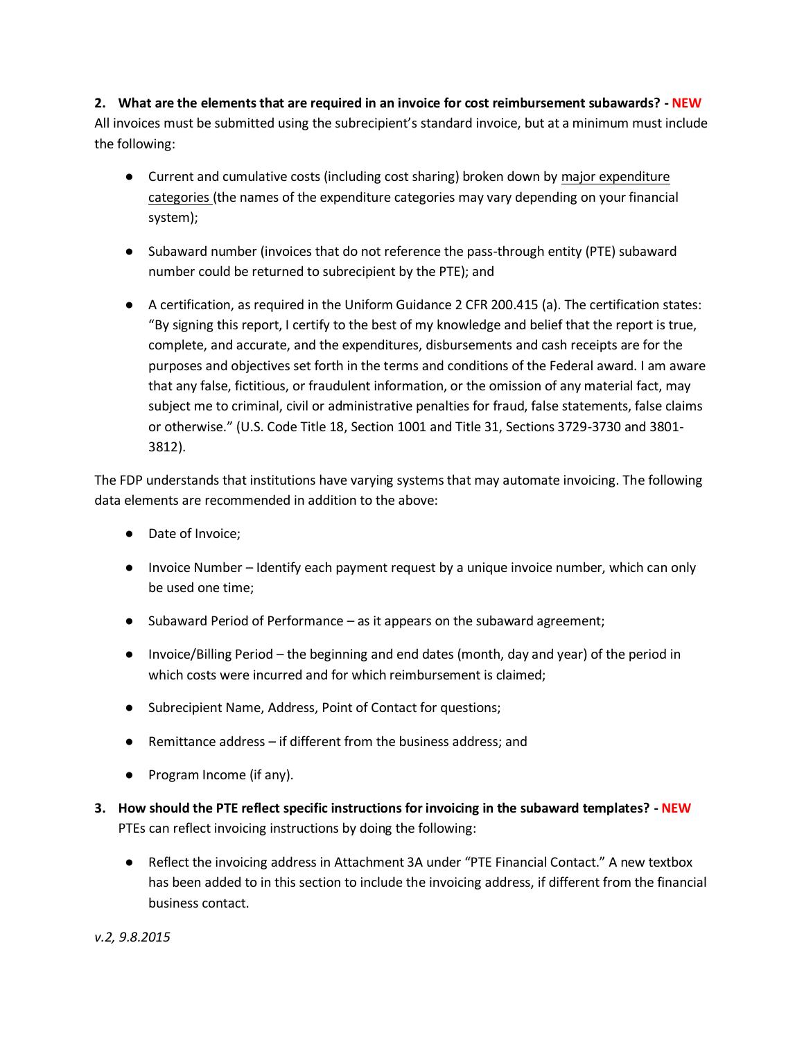**2. What are the elements that are required in an invoice for cost reimbursement subawards? - NEW** All invoices must be submitted using the subrecipient's standard invoice, but at a minimum must include the following:

- Current and cumulative costs (including cost sharing) broken down by major expenditure categories (the names of the expenditure categories may vary depending on your financial system);
- Subaward number (invoices that do not reference the pass-through entity (PTE) subaward number could be returned to subrecipient by the PTE); and
- A certification, as required in the Uniform Guidance 2 CFR 200.415 (a). The certification states: "By signing this report, I certify to the best of my knowledge and belief that the report is true, complete, and accurate, and the expenditures, disbursements and cash receipts are for the purposes and objectives set forth in the terms and conditions of the Federal award. I am aware that any false, fictitious, or fraudulent information, or the omission of any material fact, may subject me to criminal, civil or administrative penalties for fraud, false statements, false claims or otherwise." (U.S. Code Title 18, Section 1001 and Title 31, Sections 3729-3730 and 3801- 3812).

The FDP understands that institutions have varying systems that may automate invoicing. The following data elements are recommended in addition to the above:

- Date of Invoice;
- Invoice Number Identify each payment request by a unique invoice number, which can only be used one time;
- Subaward Period of Performance as it appears on the subaward agreement;
- Invoice/Billing Period the beginning and end dates (month, day and year) of the period in which costs were incurred and for which reimbursement is claimed;
- Subrecipient Name, Address, Point of Contact for questions;
- Remittance address  $-$  if different from the business address; and
- Program Income (if any).
- **3. How should the PTE reflect specific instructions for invoicing in the subaward templates? - NEW** PTEs can reflect invoicing instructions by doing the following:
	- Reflect the invoicing address in Attachment 3A under "PTE Financial Contact." A new textbox has been added to in this section to include the invoicing address, if different from the financial business contact.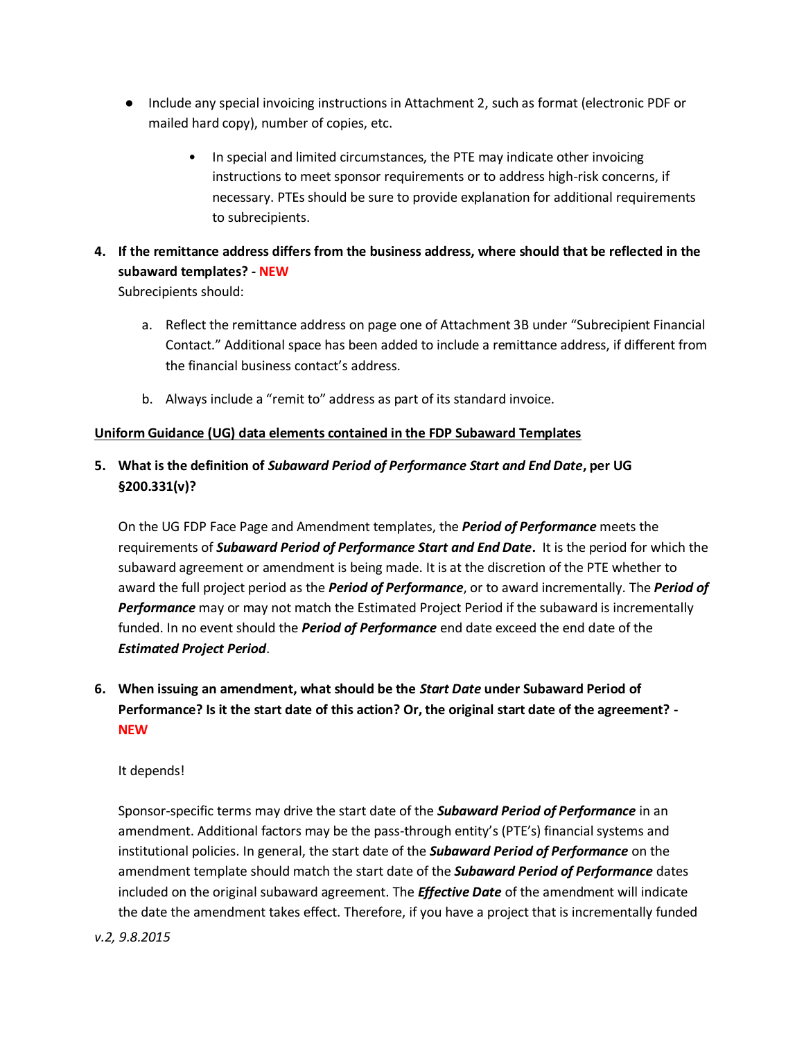- Include any special invoicing instructions in Attachment 2, such as format (electronic PDF or mailed hard copy), number of copies, etc.
	- In special and limited circumstances, the PTE may indicate other invoicing instructions to meet sponsor requirements or to address high-risk concerns, if necessary. PTEs should be sure to provide explanation for additional requirements to subrecipients.

# **4. If the remittance address differs from the business address, where should that be reflected in the subaward templates? - NEW**

Subrecipients should:

- a. Reflect the remittance address on page one of Attachment 3B under "Subrecipient Financial Contact." Additional space has been added to include a remittance address, if different from the financial business contact's address.
- b. Always include a "remit to" address as part of its standard invoice.

## <span id="page-2-0"></span>**Uniform Guidance (UG) data elements contained in the FDP Subaward Templates**

# **5. What is the definition of** *Subaward Period of Performance Start and End Date***, per UG §200.331(v)?**

On the UG FDP Face Page and Amendment templates, the *Period of Performance* meets the requirements of *Subaward Period of Performance Start and End Date***.** It is the period for which the subaward agreement or amendment is being made. It is at the discretion of the PTE whether to award the full project period as the *Period of Performance*, or to award incrementally. The *Period of Performance* may or may not match the Estimated Project Period if the subaward is incrementally funded. In no event should the *Period of Performance* end date exceed the end date of the *Estimated Project Period*.

**6. When issuing an amendment, what should be the** *Start Date* **under Subaward Period of Performance? Is it the start date of this action? Or, the original start date of the agreement? - NEW**

## It depends!

Sponsor-specific terms may drive the start date of the *Subaward Period of Performance* in an amendment. Additional factors may be the pass-through entity's (PTE's) financial systems and institutional policies. In general, the start date of the *Subaward Period of Performance* on the amendment template should match the start date of the *Subaward Period of Performance* dates included on the original subaward agreement. The *Effective Date* of the amendment will indicate the date the amendment takes effect. Therefore, if you have a project that is incrementally funded

## *v.2, 9.8.2015*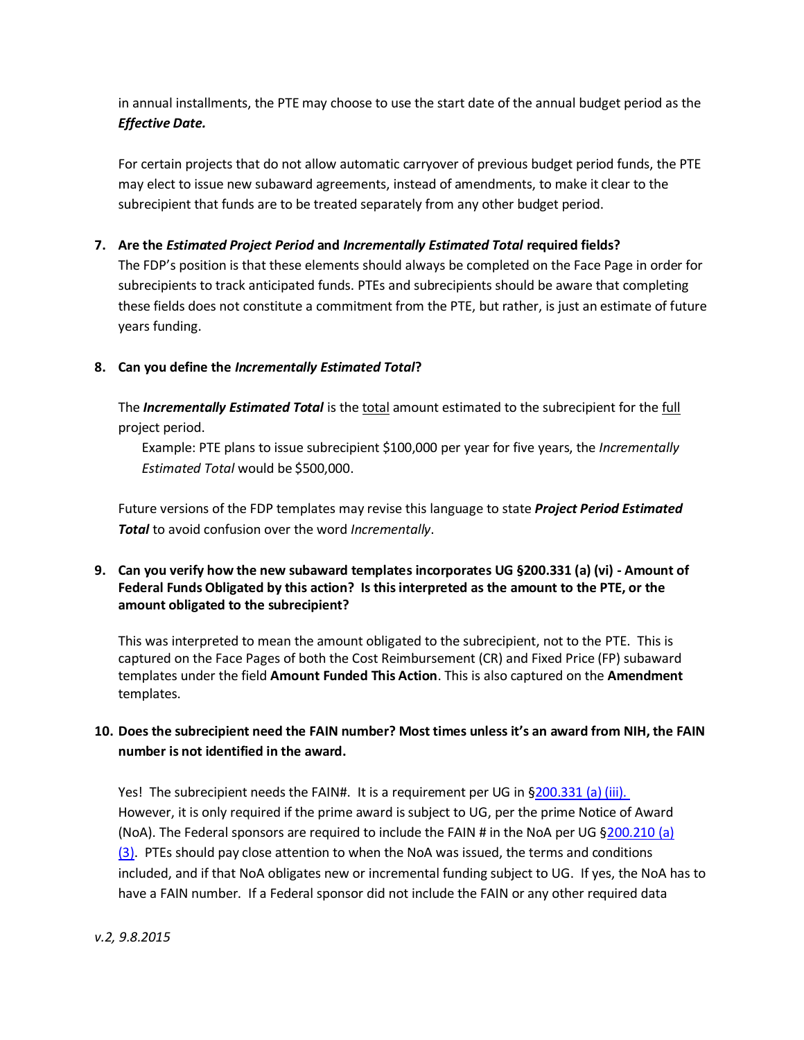in annual installments, the PTE may choose to use the start date of the annual budget period as the *Effective Date.*

For certain projects that do not allow automatic carryover of previous budget period funds, the PTE may elect to issue new subaward agreements, instead of amendments, to make it clear to the subrecipient that funds are to be treated separately from any other budget period.

## **7. Are the** *Estimated Project Period* **and** *Incrementally Estimated Total* **required fields?**

The FDP's position is that these elements should always be completed on the Face Page in order for subrecipients to track anticipated funds. PTEs and subrecipients should be aware that completing these fields does not constitute a commitment from the PTE, but rather, is just an estimate of future years funding.

## **8. Can you define the** *Incrementally Estimated Total***?**

The *Incrementally Estimated Total* is the total amount estimated to the subrecipient for the full project period.

Example: PTE plans to issue subrecipient \$100,000 per year for five years, the *Incrementally Estimated Total* would be \$500,000.

Future versions of the FDP templates may revise this language to state *Project Period Estimated Total* to avoid confusion over the word *Incrementally*.

## **9. Can you verify how the new subaward templates incorporates UG §200.331 (a) (vi) - Amount of Federal Funds Obligated by this action? Is this interpreted as the amount to the PTE, or the amount obligated to the subrecipient?**

This was interpreted to mean the amount obligated to the subrecipient, not to the PTE. This is captured on the Face Pages of both the Cost Reimbursement (CR) and Fixed Price (FP) subaward templates under the field **Amount Funded This Action**. This is also captured on the **Amendment** templates.

# **10. Does the subrecipient need the FAIN number? Most times unless it's an award from NIH, the FAIN number is not identified in the award.**

Yes! The subrecipient needs the FAIN#. It is a requirement per UG in [§200.331 \(a\) \(iii\).](http://www.ecfr.gov/cgi-bin/text-idx?SID=60623b20e6213558b4aa6ab7eb76b619&node=2:1.1.2.2.1.4&rgn=div6#se2.1.200_1331) However, it is only required if the prime award is subject to UG, per the prime Notice of Award (NoA). The Federal sponsors are required to include the FAIN # in the NoA per UG [§200.210 \(a\)](http://www.ecfr.gov/cgi-bin/text-idx?SID=60623b20e6213558b4aa6ab7eb76b619&node=2:1.1.2.2.1.3&rgn=div6#se2.1.200_1210)   $(3)$ . PTEs should pay close attention to when the NoA was issued, the terms and conditions included, and if that NoA obligates new or incremental funding subject to UG. If yes, the NoA has to have a FAIN number. If a Federal sponsor did not include the FAIN or any other required data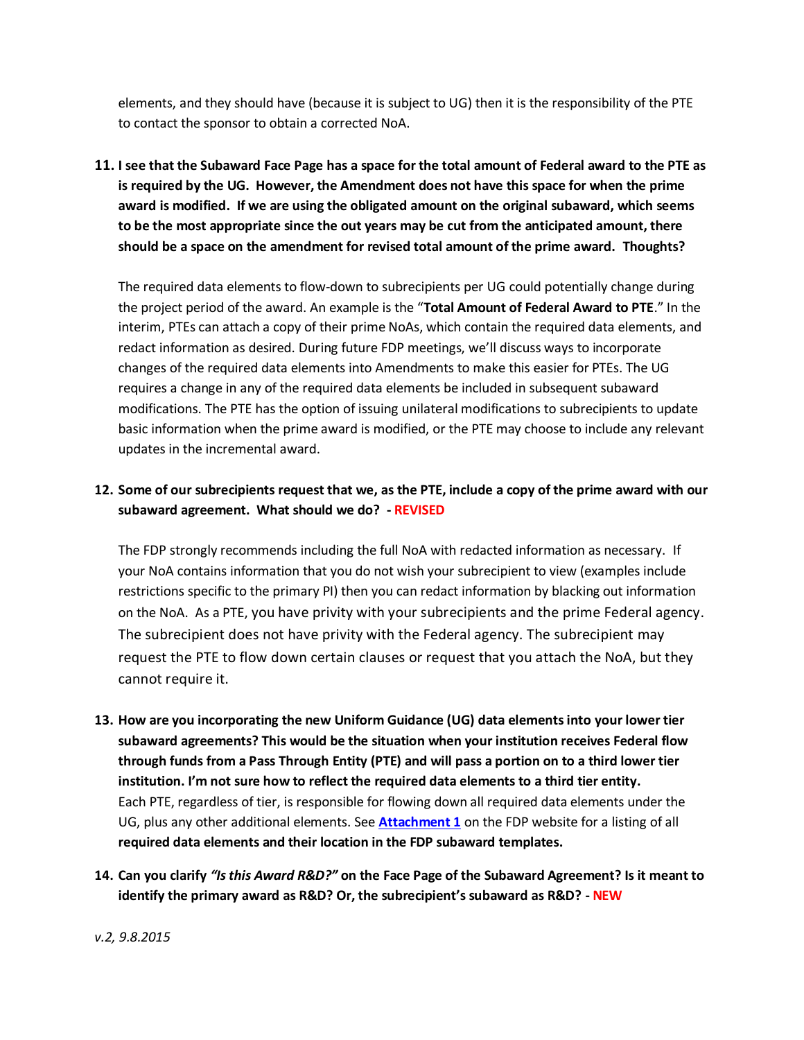elements, and they should have (because it is subject to UG) then it is the responsibility of the PTE to contact the sponsor to obtain a corrected NoA.

**11. I see that the Subaward Face Page has a space for the total amount of Federal award to the PTE as is required by the UG. However, the Amendment does not have this space for when the prime award is modified. If we are using the obligated amount on the original subaward, which seems to be the most appropriate since the out years may be cut from the anticipated amount, there should be a space on the amendment for revised total amount of the prime award. Thoughts?**

The required data elements to flow-down to subrecipients per UG could potentially change during the project period of the award. An example is the "**Total Amount of Federal Award to PTE**." In the interim, PTEs can attach a copy of their prime NoAs, which contain the required data elements, and redact information as desired. During future FDP meetings, we'll discuss ways to incorporate changes of the required data elements into Amendments to make this easier for PTEs. The UG requires a change in any of the required data elements be included in subsequent subaward modifications. The PTE has the option of issuing unilateral modifications to subrecipients to update basic information when the prime award is modified, or the PTE may choose to include any relevant updates in the incremental award.

# **12. Some of our subrecipients request that we, as the PTE, include a copy of the prime award with our subaward agreement. What should we do? - REVISED**

The FDP strongly recommends including the full NoA with redacted information as necessary. If your NoA contains information that you do not wish your subrecipient to view (examples include restrictions specific to the primary PI) then you can redact information by blacking out information on the NoA. As a PTE, you have privity with your subrecipients and the prime Federal agency. The subrecipient does not have privity with the Federal agency. The subrecipient may request the PTE to flow down certain clauses or request that you attach the NoA, but they cannot require it.

- **13. How are you incorporating the new Uniform Guidance (UG) data elements into your lower tier subaward agreements? This would be the situation when your institution receives Federal flow through funds from a Pass Through Entity (PTE) and will pass a portion on to a third lower tier institution. I'm not sure how to reflect the required data elements to a third tier entity.**  Each PTE, regardless of tier, is responsible for flowing down all required data elements under the UG, plus any other additional elements. See **[Attachment 1](http://sites.nationalacademies.org/cs/groups/pgasite/documents/webpage/pga_161111.pdf)** on the FDP website for a listing of all **required data elements and their location in the FDP subaward templates.**
- **14. Can you clarify** *"Is this Award R&D?"* **on the Face Page of the Subaward Agreement? Is it meant to identify the primary award as R&D? Or, the subrecipient's subaward as R&D? - NEW**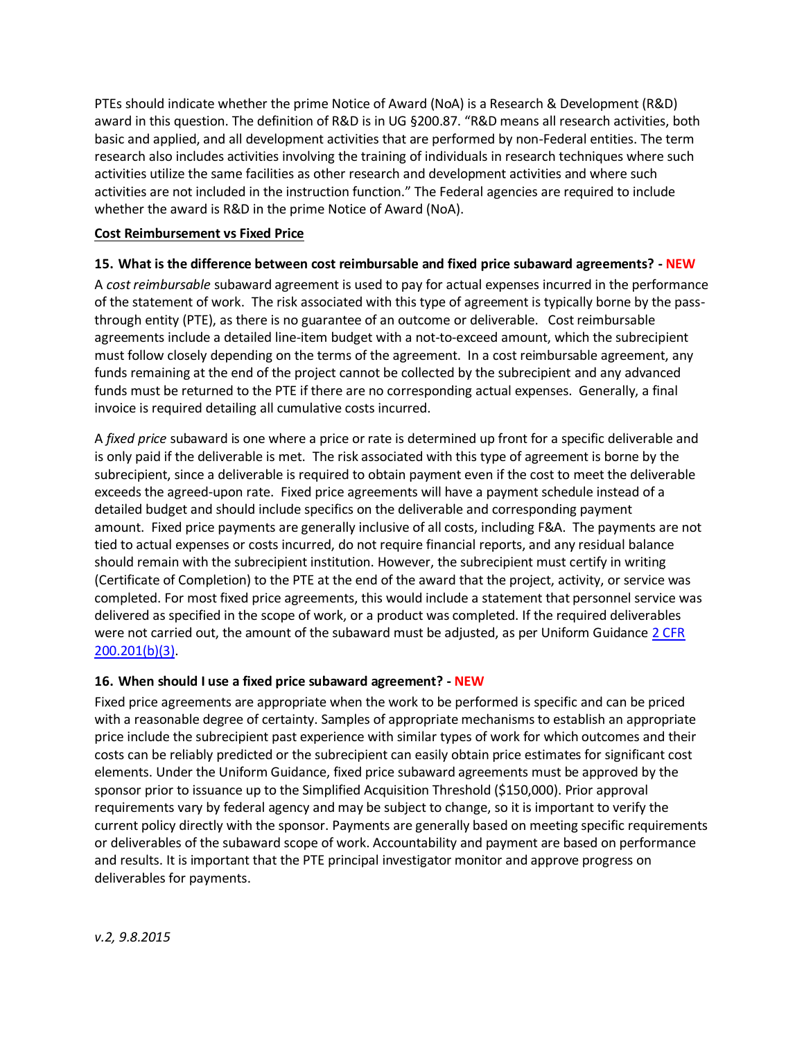PTEs should indicate whether the prime Notice of Award (NoA) is a Research & Development (R&D) award in this question. The definition of R&D is in UG §200.87. "R&D means all research activities, both basic and applied, and all development activities that are performed by non-Federal entities. The term research also includes activities involving the training of individuals in research techniques where such activities utilize the same facilities as other research and development activities and where such activities are not included in the instruction function." The Federal agencies are required to include whether the award is R&D in the prime Notice of Award (NoA).

#### <span id="page-5-0"></span>**Cost Reimbursement vs Fixed Price**

## **15. What is the difference between cost reimbursable and fixed price subaward agreements? - NEW**

A *cost reimbursable* subaward agreement is used to pay for actual expenses incurred in the performance of the statement of work. The risk associated with this type of agreement is typically borne by the passthrough entity (PTE), as there is no guarantee of an outcome or deliverable. Cost reimbursable agreements include a detailed line-item budget with a not-to-exceed amount, which the subrecipient must follow closely depending on the terms of the agreement. In a cost reimbursable agreement, any funds remaining at the end of the project cannot be collected by the subrecipient and any advanced funds must be returned to the PTE if there are no corresponding actual expenses. Generally, a final invoice is required detailing all cumulative costs incurred.

A *fixed price* subaward is one where a price or rate is determined up front for a specific deliverable and is only paid if the deliverable is met. The risk associated with this type of agreement is borne by the subrecipient, since a deliverable is required to obtain payment even if the cost to meet the deliverable exceeds the agreed-upon rate. Fixed price agreements will have a payment schedule instead of a detailed budget and should include specifics on the deliverable and corresponding payment amount. Fixed price payments are generally inclusive of all costs, including F&A. The payments are not tied to actual expenses or costs incurred, do not require financial reports, and any residual balance should remain with the subrecipient institution. However, the subrecipient must certify in writing (Certificate of Completion) to the PTE at the end of the award that the project, activity, or service was completed. For most fixed price agreements, this would include a statement that personnel service was delivered as specified in the scope of work, or a product was completed. If the required deliverables were not carried out, the amount of the subaward must be adjusted, as per Uniform Guidance [2 CFR](http://www.ecfr.gov/cgi-bin/text-idx?SID=60623b20e6213558b4aa6ab7eb76b619&node=2:1.1.2.2.1.3&rgn=div6#se2.1.200_1201)  [200.201\(b\)\(3\).](http://www.ecfr.gov/cgi-bin/text-idx?SID=60623b20e6213558b4aa6ab7eb76b619&node=2:1.1.2.2.1.3&rgn=div6#se2.1.200_1201)

## **16. When should I use a fixed price subaward agreement? - NEW**

Fixed price agreements are appropriate when the work to be performed is specific and can be priced with a reasonable degree of certainty. Samples of appropriate mechanisms to establish an appropriate price include the subrecipient past experience with similar types of work for which outcomes and their costs can be reliably predicted or the subrecipient can easily obtain price estimates for significant cost elements. Under the Uniform Guidance, fixed price subaward agreements must be approved by the sponsor prior to issuance up to the Simplified Acquisition Threshold (\$150,000). Prior approval requirements vary by federal agency and may be subject to change, so it is important to verify the current policy directly with the sponsor. Payments are generally based on meeting specific requirements or deliverables of the subaward scope of work. Accountability and payment are based on performance and results. It is important that the PTE principal investigator monitor and approve progress on deliverables for payments.